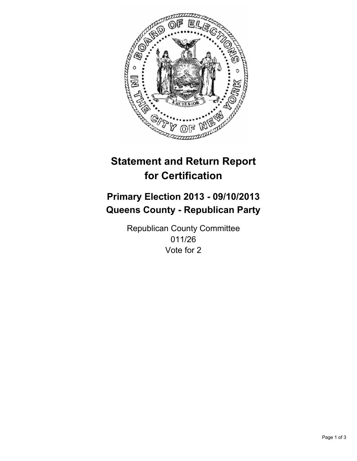

# **Statement and Return Report for Certification**

# **Primary Election 2013 - 09/10/2013 Queens County - Republican Party**

Republican County Committee 011/26 Vote for 2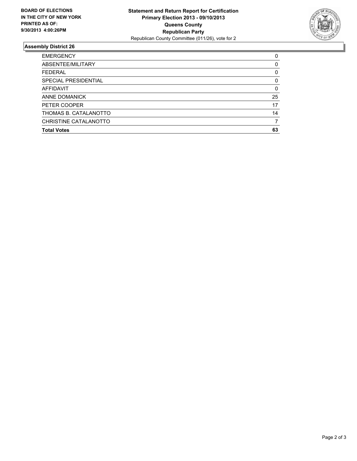

## **Assembly District 26**

| 0        |
|----------|
| 0        |
| 0        |
| 0        |
| $\Omega$ |
| 25       |
| 17       |
| 14       |
|          |
| 63       |
|          |